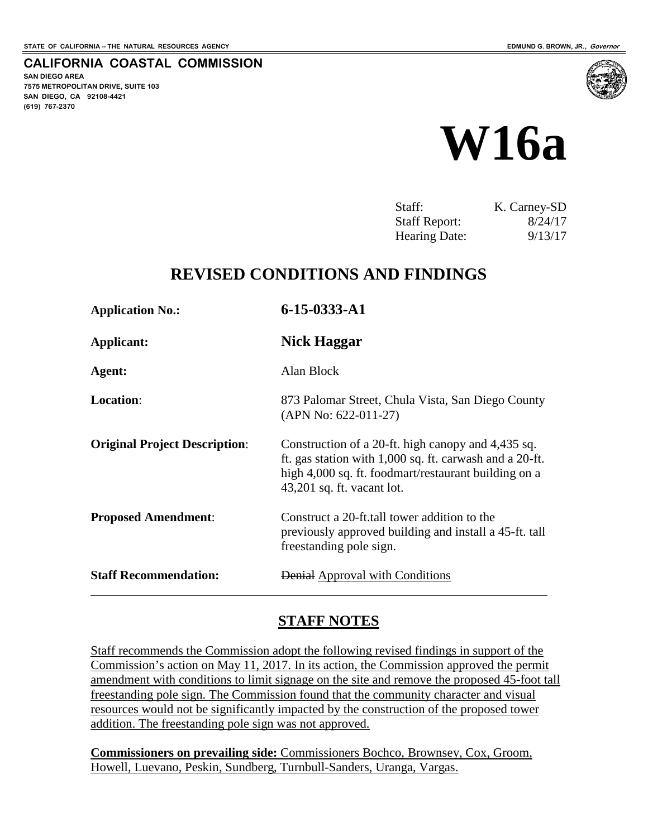**SAN DIEGO AREA**

**(619) 767-2370**

**7575 METROPOLITAN DRIVE, SUITE 103 SAN DIEGO, CA 92108-4421**

**CALIFORNIA COASTAL COMMISSION**



| Staff:               | K. Carney-SD |
|----------------------|--------------|
| <b>Staff Report:</b> | 8/24/17      |
| Hearing Date:        | 9/13/17      |

# **REVISED CONDITIONS AND FINDINGS**

| <b>Application No.:</b>              | 6-15-0333-A1                                                                                                                                                                                          |
|--------------------------------------|-------------------------------------------------------------------------------------------------------------------------------------------------------------------------------------------------------|
| Applicant:                           | Nick Haggar                                                                                                                                                                                           |
| Agent:                               | Alan Block                                                                                                                                                                                            |
| <b>Location:</b>                     | 873 Palomar Street, Chula Vista, San Diego County<br>$(APN No: 622-011-27)$                                                                                                                           |
| <b>Original Project Description:</b> | Construction of a 20-ft. high canopy and 4,435 sq.<br>ft. gas station with 1,000 sq. ft. carwash and a 20-ft.<br>high 4,000 sq. ft. foodmart/restaurant building on a<br>$43,201$ sq. ft. vacant lot. |
| <b>Proposed Amendment:</b>           | Construct a 20-ft.tall tower addition to the<br>previously approved building and install a 45-ft. tall<br>freestanding pole sign.                                                                     |
| <b>Staff Recommendation:</b>         | Denial Approval with Conditions                                                                                                                                                                       |

# **STAFF NOTES**

Staff recommends the Commission adopt the following revised findings in support of the Commission's action on May 11, 2017. In its action, the Commission approved the permit amendment with conditions to limit signage on the site and remove the proposed 45-foot tall freestanding pole sign. The Commission found that the community character and visual resources would not be significantly impacted by the construction of the proposed tower addition. The freestanding pole sign was not approved.

**Commissioners on prevailing side:** Commissioners Bochco, Brownsey, Cox, Groom, Howell, Luevano, Peskin, Sundberg, Turnbull-Sanders, Uranga, Vargas.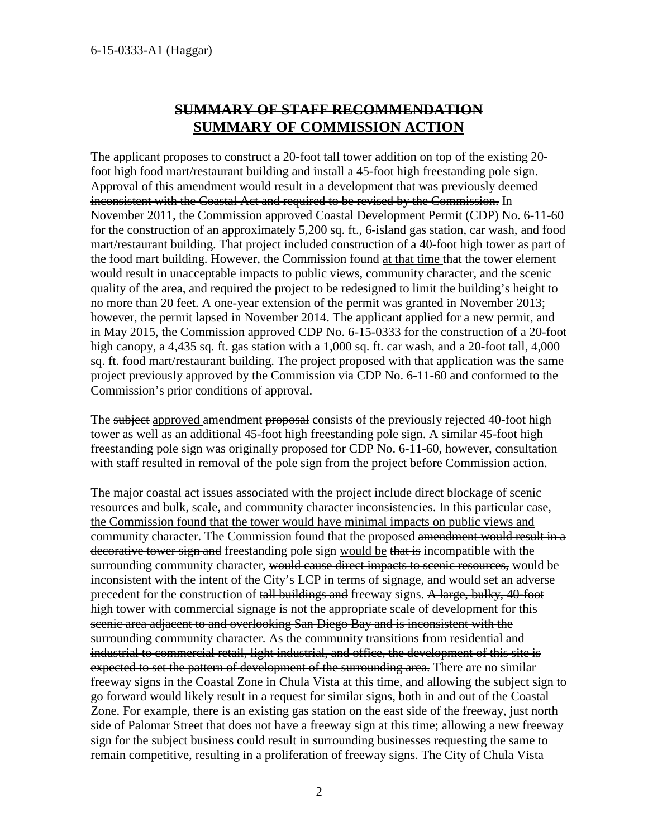# **SUMMARY OF STAFF RECOMMENDATION SUMMARY OF COMMISSION ACTION**

The applicant proposes to construct a 20-foot tall tower addition on top of the existing 20 foot high food mart/restaurant building and install a 45-foot high freestanding pole sign. Approval of this amendment would result in a development that was previously deemed inconsistent with the Coastal Act and required to be revised by the Commission. In November 2011, the Commission approved Coastal Development Permit (CDP) No. 6-11-60 for the construction of an approximately 5,200 sq. ft., 6-island gas station, car wash, and food mart/restaurant building. That project included construction of a 40-foot high tower as part of the food mart building. However, the Commission found at that time that the tower element would result in unacceptable impacts to public views, community character, and the scenic quality of the area, and required the project to be redesigned to limit the building's height to no more than 20 feet. A one-year extension of the permit was granted in November 2013; however, the permit lapsed in November 2014. The applicant applied for a new permit, and in May 2015, the Commission approved CDP No. 6-15-0333 for the construction of a 20-foot high canopy, a 4,435 sq. ft. gas station with a 1,000 sq. ft. car wash, and a 20-foot tall, 4,000 sq. ft. food mart/restaurant building. The project proposed with that application was the same project previously approved by the Commission via CDP No. 6-11-60 and conformed to the Commission's prior conditions of approval.

The subject approved amendment proposal consists of the previously rejected 40-foot high tower as well as an additional 45-foot high freestanding pole sign. A similar 45-foot high freestanding pole sign was originally proposed for CDP No. 6-11-60, however, consultation with staff resulted in removal of the pole sign from the project before Commission action.

The major coastal act issues associated with the project include direct blockage of scenic resources and bulk, scale, and community character inconsistencies. In this particular case, the Commission found that the tower would have minimal impacts on public views and community character. The Commission found that the proposed amendment would result in a decorative tower sign and freestanding pole sign would be that is incompatible with the surrounding community character, would cause direct impacts to scenic resources, would be inconsistent with the intent of the City's LCP in terms of signage, and would set an adverse precedent for the construction of tall buildings and freeway signs. A large, bulky, 40-foot high tower with commercial signage is not the appropriate scale of development for this scenic area adjacent to and overlooking San Diego Bay and is inconsistent with the surrounding community character. As the community transitions from residential and industrial to commercial retail, light industrial, and office, the development of this site is expected to set the pattern of development of the surrounding area. There are no similar freeway signs in the Coastal Zone in Chula Vista at this time, and allowing the subject sign to go forward would likely result in a request for similar signs, both in and out of the Coastal Zone. For example, there is an existing gas station on the east side of the freeway, just north side of Palomar Street that does not have a freeway sign at this time; allowing a new freeway sign for the subject business could result in surrounding businesses requesting the same to remain competitive, resulting in a proliferation of freeway signs. The City of Chula Vista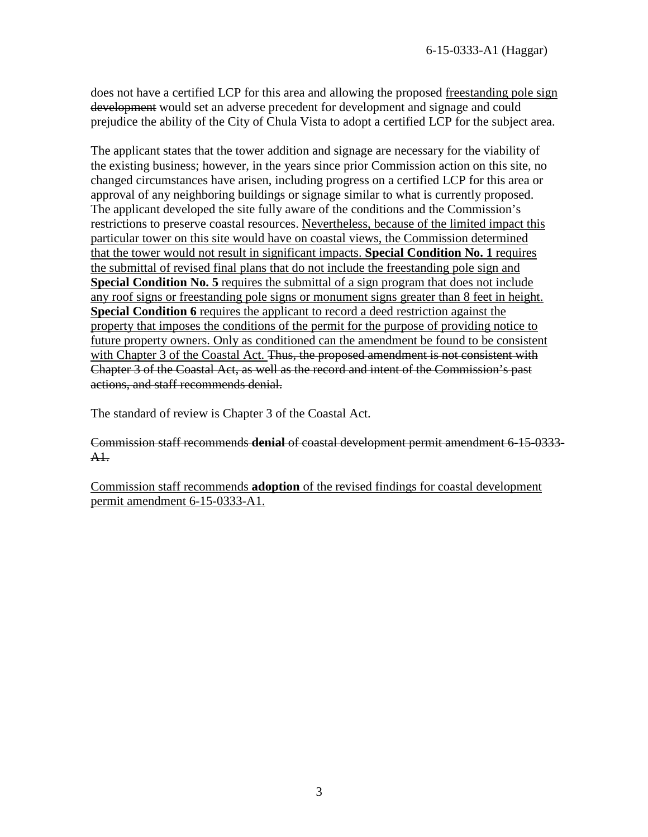does not have a certified LCP for this area and allowing the proposed freestanding pole sign development would set an adverse precedent for development and signage and could prejudice the ability of the City of Chula Vista to adopt a certified LCP for the subject area.

The applicant states that the tower addition and signage are necessary for the viability of the existing business; however, in the years since prior Commission action on this site, no changed circumstances have arisen, including progress on a certified LCP for this area or approval of any neighboring buildings or signage similar to what is currently proposed. The applicant developed the site fully aware of the conditions and the Commission's restrictions to preserve coastal resources. Nevertheless, because of the limited impact this particular tower on this site would have on coastal views, the Commission determined that the tower would not result in significant impacts. **Special Condition No. 1** requires the submittal of revised final plans that do not include the freestanding pole sign and **Special Condition No. 5** requires the submittal of a sign program that does not include any roof signs or freestanding pole signs or monument signs greater than 8 feet in height. **Special Condition 6** requires the applicant to record a deed restriction against the property that imposes the conditions of the permit for the purpose of providing notice to future property owners. Only as conditioned can the amendment be found to be consistent with Chapter 3 of the Coastal Act. Thus, the proposed amendment is not consistent with Chapter 3 of the Coastal Act, as well as the record and intent of the Commission's past actions, and staff recommends denial.

The standard of review is Chapter 3 of the Coastal Act.

#### Commission staff recommends **denial** of coastal development permit amendment 6-15-0333- A1.

Commission staff recommends **adoption** of the revised findings for coastal development permit amendment 6-15-0333-A1.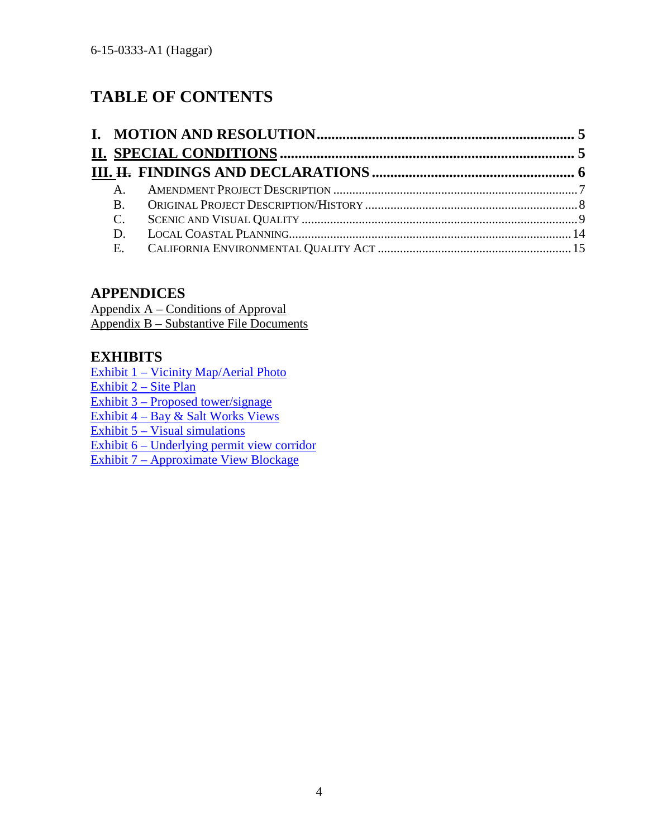# **TABLE OF CONTENTS**

# **APPENDICES**

Appendix A – Conditions of Approval Appendix B – Substantive File Documents

# **EXHIBITS**

[Exhibit 1 – Vicinity Map/Aerial Photo](https://documents.coastal.ca.gov/reports/2017/5/Th21a/Th21a-5-2017-exhibits.pdf) [Exhibit 2 – Site Plan](https://documents.coastal.ca.gov/reports/2017/5/Th21a/Th21a-5-2017-exhibits.pdf) [Exhibit 3 – Proposed tower/signage](https://documents.coastal.ca.gov/reports/2017/5/Th21a/Th21a-5-2017-exhibits.pdf) [Exhibit 4 – Bay & Salt Works Views](https://documents.coastal.ca.gov/reports/2017/5/Th21a/Th21a-5-2017-exhibits.pdf) [Exhibit 5 – Visual simulations](https://documents.coastal.ca.gov/reports/2017/5/Th21a/Th21a-5-2017-exhibits.pdf)  [Exhibit 6 – Underlying permit view corridor](https://documents.coastal.ca.gov/reports/2017/5/Th21a/Th21a-5-2017-exhibits.pdf)  [Exhibit 7 – Approximate View Blockage](https://documents.coastal.ca.gov/reports/2017/5/Th21a/Th21a-5-2017-exhibits.pdf)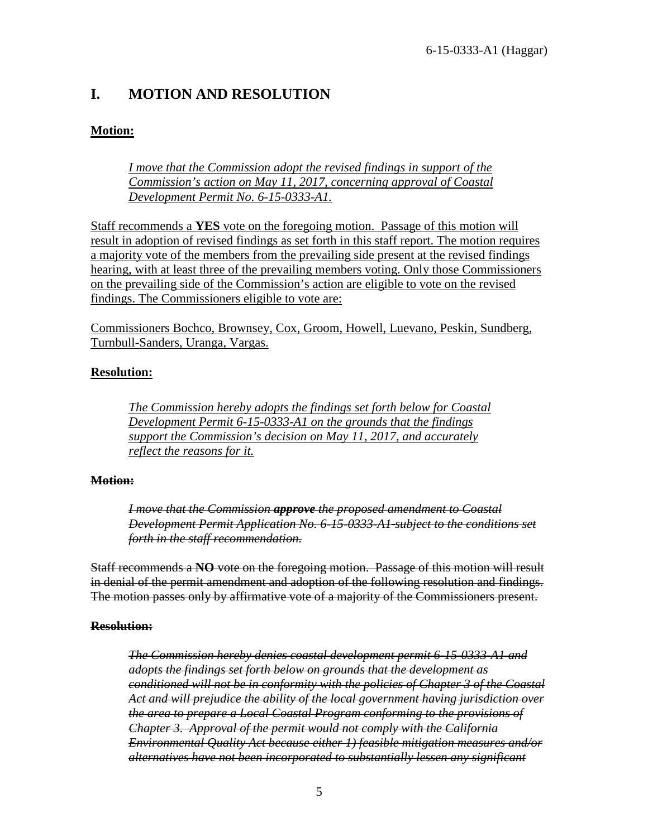# <span id="page-4-0"></span>**I. MOTION AND RESOLUTION**

### **Motion:**

*I move that the Commission adopt the revised findings in support of the Commission's action on May 11, 2017, concerning approval of Coastal Development Permit No. 6-15-0333-A1.*

Staff recommends a **YES** vote on the foregoing motion. Passage of this motion will result in adoption of revised findings as set forth in this staff report. The motion requires a majority vote of the members from the prevailing side present at the revised findings hearing, with at least three of the prevailing members voting. Only those Commissioners on the prevailing side of the Commission's action are eligible to vote on the revised findings. The Commissioners eligible to vote are:

Commissioners Bochco, Brownsey, Cox, Groom, Howell, Luevano, Peskin, Sundberg, Turnbull-Sanders, Uranga, Vargas.

### **Resolution:**

*The Commission hereby adopts the findings set forth below for Coastal Development Permit 6-15-0333-A1 on the grounds that the findings support the Commission's decision on May 11, 2017, and accurately reflect the reasons for it.* 

### **Motion:**

*I move that the Commission approve the proposed amendment to Coastal Development Permit Application No. 6-15-0333-A1 subject to the conditions set forth in the staff recommendation.* 

Staff recommends a **NO** vote on the foregoing motion. Passage of this motion will result in denial of the permit amendment and adoption of the following resolution and findings. The motion passes only by affirmative vote of a majority of the Commissioners present.

### **Resolution:**

*The Commission hereby denies coastal development permit 6-15-0333-A1 and adopts the findings set forth below on grounds that the development as conditioned will not be in conformity with the policies of Chapter 3 of the Coastal Act and will prejudice the ability of the local government having jurisdiction over the area to prepare a Local Coastal Program conforming to the provisions of Chapter 3. Approval of the permit would not comply with the California Environmental Quality Act because either 1) feasible mitigation measures and/or alternatives have not been incorporated to substantially lessen any significant*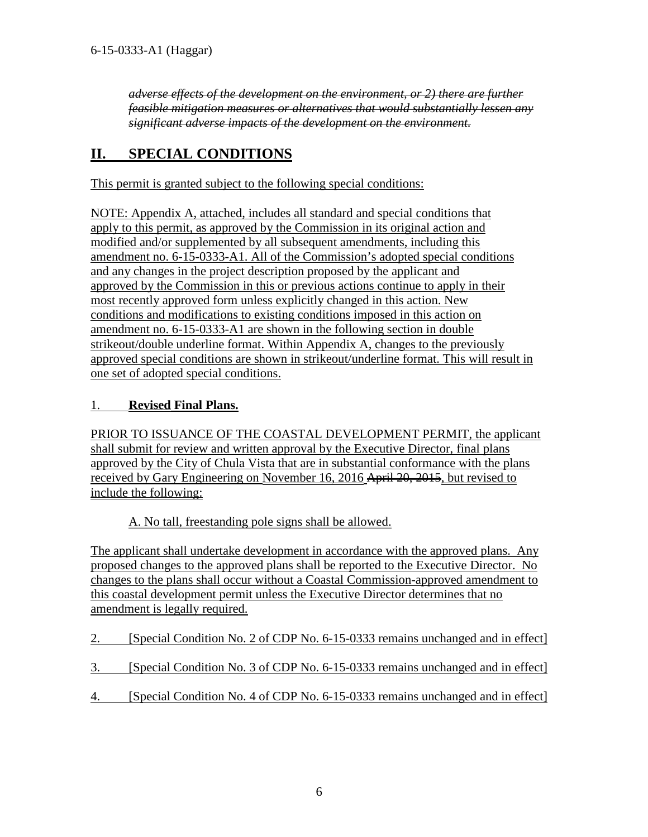*adverse effects of the development on the environment, or 2) there are further feasible mitigation measures or alternatives that would substantially lessen any significant adverse impacts of the development on the environment.* 

# <span id="page-5-0"></span>**II. SPECIAL CONDITIONS**

This permit is granted subject to the following special conditions:

NOTE: Appendix A, attached, includes all standard and special conditions that apply to this permit, as approved by the Commission in its original action and modified and/or supplemented by all subsequent amendments, including this amendment no. 6-15-0333-A1. All of the Commission's adopted special conditions and any changes in the project description proposed by the applicant and approved by the Commission in this or previous actions continue to apply in their most recently approved form unless explicitly changed in this action. New conditions and modifications to existing conditions imposed in this action on amendment no. 6-15-0333-A1 are shown in the following section in double strikeout/double underline format. Within Appendix A, changes to the previously approved special conditions are shown in strikeout/underline format. This will result in one set of adopted special conditions.

### 1. **Revised Final Plans.**

PRIOR TO ISSUANCE OF THE COASTAL DEVELOPMENT PERMIT, the applicant shall submit for review and written approval by the Executive Director, final plans approved by the City of Chula Vista that are in substantial conformance with the plans received by Gary Engineering on November 16, 2016 April 20, 2015, but revised to include the following:

A. No tall, freestanding pole signs shall be allowed.

The applicant shall undertake development in accordance with the approved plans. Any proposed changes to the approved plans shall be reported to the Executive Director. No changes to the plans shall occur without a Coastal Commission-approved amendment to this coastal development permit unless the Executive Director determines that no amendment is legally required.

| 2. | [Special Condition No. 2 of CDP No. 6-15-0333 remains unchanged and in effect] |
|----|--------------------------------------------------------------------------------|
| 3. | [Special Condition No. 3 of CDP No. 6-15-0333 remains unchanged and in effect] |
| 4. | [Special Condition No. 4 of CDP No. 6-15-0333 remains unchanged and in effect] |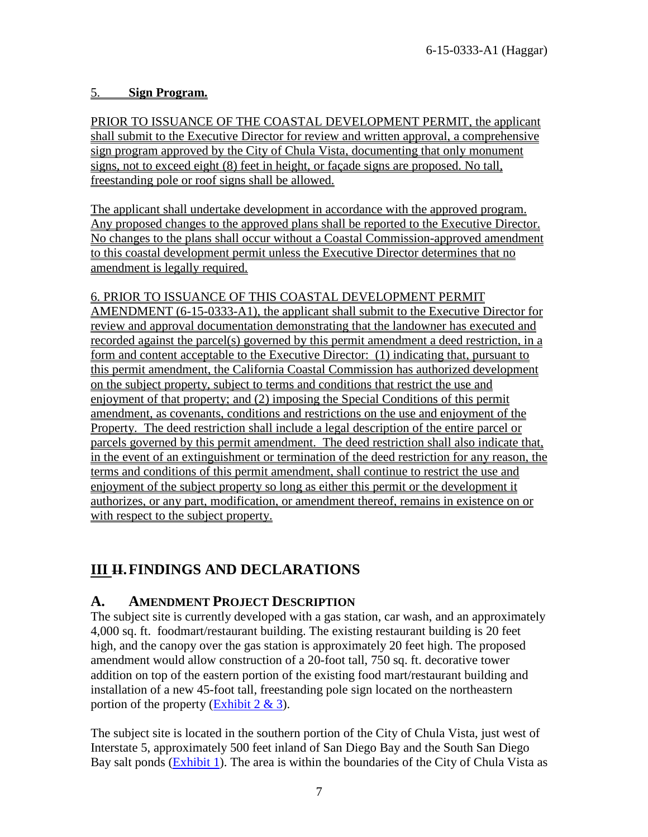### 5. **Sign Program.**

PRIOR TO ISSUANCE OF THE COASTAL DEVELOPMENT PERMIT, the applicant shall submit to the Executive Director for review and written approval, a comprehensive sign program approved by the City of Chula Vista, documenting that only monument signs, not to exceed eight (8) feet in height, or façade signs are proposed. No tall, freestanding pole or roof signs shall be allowed.

The applicant shall undertake development in accordance with the approved program. Any proposed changes to the approved plans shall be reported to the Executive Director. No changes to the plans shall occur without a Coastal Commission-approved amendment to this coastal development permit unless the Executive Director determines that no amendment is legally required.

### 6. PRIOR TO ISSUANCE OF THIS COASTAL DEVELOPMENT PERMIT

AMENDMENT (6-15-0333-A1), the applicant shall submit to the Executive Director for review and approval documentation demonstrating that the landowner has executed and recorded against the parcel(s) governed by this permit amendment a deed restriction, in a form and content acceptable to the Executive Director: (1) indicating that, pursuant to this permit amendment, the California Coastal Commission has authorized development on the subject property, subject to terms and conditions that restrict the use and enjoyment of that property; and (2) imposing the Special Conditions of this permit amendment, as covenants, conditions and restrictions on the use and enjoyment of the Property. The deed restriction shall include a legal description of the entire parcel or parcels governed by this permit amendment. The deed restriction shall also indicate that, in the event of an extinguishment or termination of the deed restriction for any reason, the terms and conditions of this permit amendment, shall continue to restrict the use and enjoyment of the subject property so long as either this permit or the development it authorizes, or any part, modification, or amendment thereof, remains in existence on or with respect to the subject property.

# **III H. FINDINGS AND DECLARATIONS**

# <span id="page-6-0"></span>**A. AMENDMENT PROJECT DESCRIPTION**

The subject site is currently developed with a gas station, car wash, and an approximately 4,000 sq. ft. foodmart/restaurant building. The existing restaurant building is 20 feet high, and the canopy over the gas station is approximately 20 feet high. The proposed amendment would allow construction of a 20-foot tall, 750 sq. ft. decorative tower addition on top of the eastern portion of the existing food mart/restaurant building and installation of a new 45-foot tall, freestanding pole sign located on the northeastern portion of the property (Exhibit  $2 \& 3$ ).

The subject site is located in the southern portion of the City of Chula Vista, just west of Interstate 5, approximately 500 feet inland of San Diego Bay and the South San Diego Bay salt ponds [\(Exhibit 1\)](https://documents.coastal.ca.gov/reports/2017/9/W16a/W16a-9-2017-exhibits.pdf). The area is within the boundaries of the City of Chula Vista as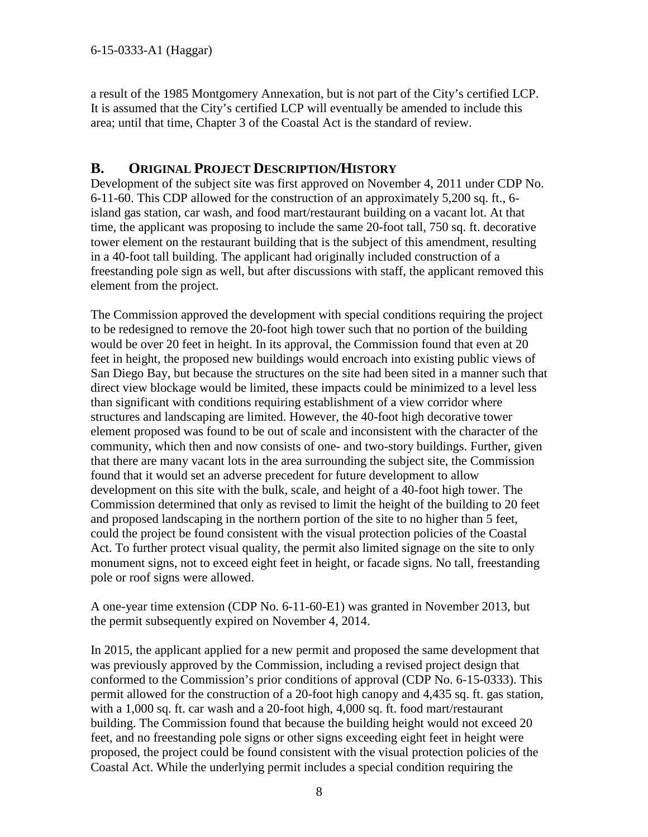a result of the 1985 Montgomery Annexation, but is not part of the City's certified LCP. It is assumed that the City's certified LCP will eventually be amended to include this area; until that time, Chapter 3 of the Coastal Act is the standard of review.

# <span id="page-7-0"></span>**B. ORIGINAL PROJECT DESCRIPTION/HISTORY**

Development of the subject site was first approved on November 4, 2011 under CDP No. 6-11-60. This CDP allowed for the construction of an approximately 5,200 sq. ft., 6 island gas station, car wash, and food mart/restaurant building on a vacant lot. At that time, the applicant was proposing to include the same 20-foot tall, 750 sq. ft. decorative tower element on the restaurant building that is the subject of this amendment, resulting in a 40-foot tall building. The applicant had originally included construction of a freestanding pole sign as well, but after discussions with staff, the applicant removed this element from the project.

The Commission approved the development with special conditions requiring the project to be redesigned to remove the 20-foot high tower such that no portion of the building would be over 20 feet in height. In its approval, the Commission found that even at 20 feet in height, the proposed new buildings would encroach into existing public views of San Diego Bay, but because the structures on the site had been sited in a manner such that direct view blockage would be limited, these impacts could be minimized to a level less than significant with conditions requiring establishment of a view corridor where structures and landscaping are limited. However, the 40-foot high decorative tower element proposed was found to be out of scale and inconsistent with the character of the community, which then and now consists of one- and two-story buildings. Further, given that there are many vacant lots in the area surrounding the subject site, the Commission found that it would set an adverse precedent for future development to allow development on this site with the bulk, scale, and height of a 40-foot high tower. The Commission determined that only as revised to limit the height of the building to 20 feet and proposed landscaping in the northern portion of the site to no higher than 5 feet, could the project be found consistent with the visual protection policies of the Coastal Act. To further protect visual quality, the permit also limited signage on the site to only monument signs, not to exceed eight feet in height, or facade signs. No tall, freestanding pole or roof signs were allowed.

A one-year time extension (CDP No. 6-11-60-E1) was granted in November 2013, but the permit subsequently expired on November 4, 2014.

In 2015, the applicant applied for a new permit and proposed the same development that was previously approved by the Commission, including a revised project design that conformed to the Commission's prior conditions of approval (CDP No. 6-15-0333). This permit allowed for the construction of a 20-foot high canopy and 4,435 sq. ft. gas station, with a 1,000 sq. ft. car wash and a 20-foot high, 4,000 sq. ft. food mart/restaurant building. The Commission found that because the building height would not exceed 20 feet, and no freestanding pole signs or other signs exceeding eight feet in height were proposed, the project could be found consistent with the visual protection policies of the Coastal Act. While the underlying permit includes a special condition requiring the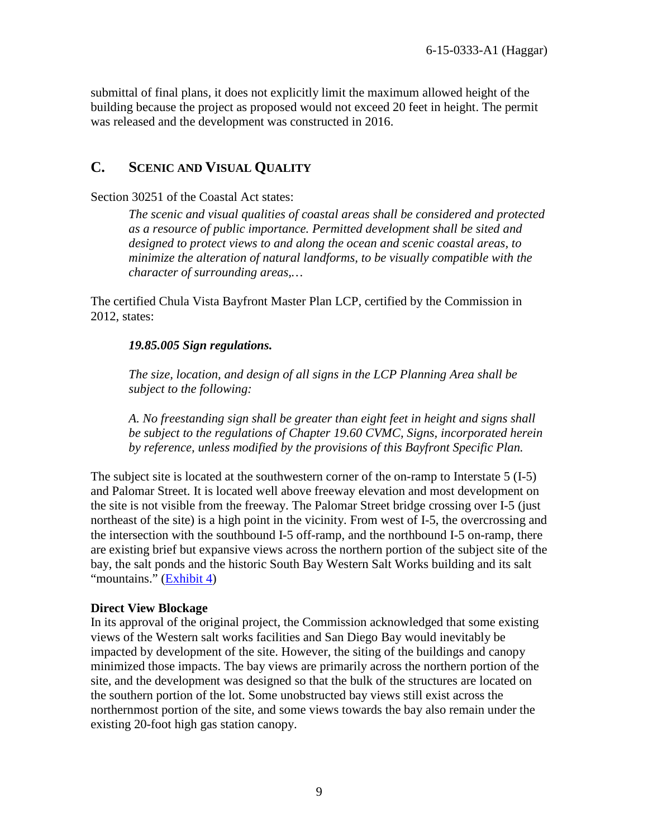submittal of final plans, it does not explicitly limit the maximum allowed height of the building because the project as proposed would not exceed 20 feet in height. The permit was released and the development was constructed in 2016.

# <span id="page-8-0"></span>**C. SCENIC AND VISUAL QUALITY**

Section 30251 of the Coastal Act states:

*The scenic and visual qualities of coastal areas shall be considered and protected as a resource of public importance. Permitted development shall be sited and designed to protect views to and along the ocean and scenic coastal areas, to minimize the alteration of natural landforms, to be visually compatible with the character of surrounding areas,…* 

The certified Chula Vista Bayfront Master Plan LCP, certified by the Commission in 2012, states:

#### *19.85.005 Sign regulations.*

*The size, location, and design of all signs in the LCP Planning Area shall be subject to the following:* 

*A. No freestanding sign shall be greater than eight feet in height and signs shall be subject to the regulations of Chapter 19.60 CVMC, Signs, incorporated herein by reference, unless modified by the provisions of this Bayfront Specific Plan.* 

The subject site is located at the southwestern corner of the on-ramp to Interstate 5 (I-5) and Palomar Street. It is located well above freeway elevation and most development on the site is not visible from the freeway. The Palomar Street bridge crossing over I-5 (just northeast of the site) is a high point in the vicinity. From west of I-5, the overcrossing and the intersection with the southbound I-5 off-ramp, and the northbound I-5 on-ramp, there are existing brief but expansive views across the northern portion of the subject site of the bay, the salt ponds and the historic South Bay Western Salt Works building and its salt "mountains." [\(Exhibit 4\)](https://documents.coastal.ca.gov/reports/2017/9/W16a/W16a-9-2017-exhibits.pdf)

#### **Direct View Blockage**

In its approval of the original project, the Commission acknowledged that some existing views of the Western salt works facilities and San Diego Bay would inevitably be impacted by development of the site. However, the siting of the buildings and canopy minimized those impacts. The bay views are primarily across the northern portion of the site, and the development was designed so that the bulk of the structures are located on the southern portion of the lot. Some unobstructed bay views still exist across the northernmost portion of the site, and some views towards the bay also remain under the existing 20-foot high gas station canopy.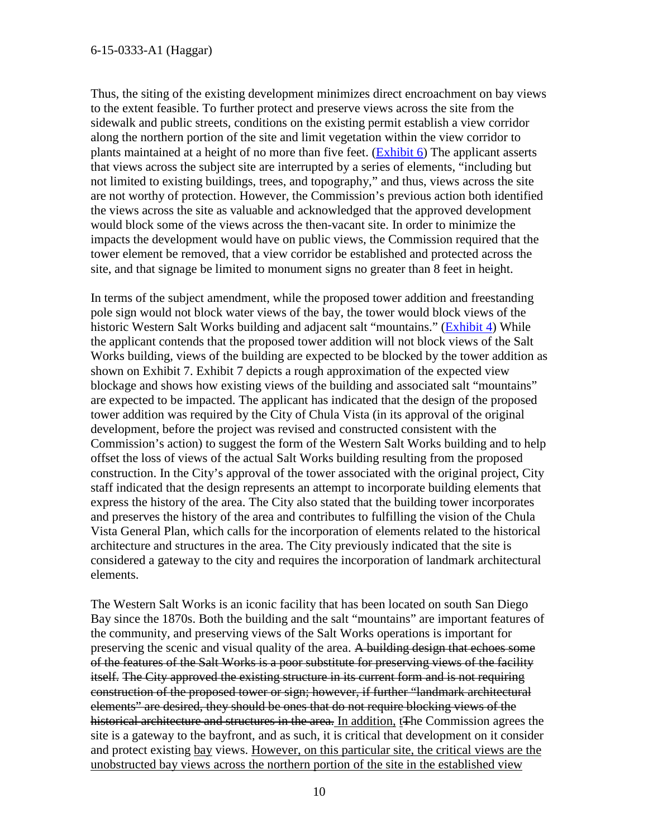Thus, the siting of the existing development minimizes direct encroachment on bay views to the extent feasible. To further protect and preserve views across the site from the sidewalk and public streets, conditions on the existing permit establish a view corridor along the northern portion of the site and limit vegetation within the view corridor to plants maintained at a height of no more than five feet. [\(Exhibit 6\)](https://documents.coastal.ca.gov/reports/2017/9/W16a/W16a-9-2017-exhibits.pdf) The applicant asserts that views across the subject site are interrupted by a series of elements, "including but not limited to existing buildings, trees, and topography," and thus, views across the site are not worthy of protection. However, the Commission's previous action both identified the views across the site as valuable and acknowledged that the approved development would block some of the views across the then-vacant site. In order to minimize the impacts the development would have on public views, the Commission required that the tower element be removed, that a view corridor be established and protected across the site, and that signage be limited to monument signs no greater than 8 feet in height.

In terms of the subject amendment, while the proposed tower addition and freestanding pole sign would not block water views of the bay, the tower would block views of the historic Western Salt Works building and adjacent salt "mountains." [\(Exhibit 4\)](https://documents.coastal.ca.gov/reports/2017/9/W16a/W16a-9-2017-exhibits.pdf) While the applicant contends that the proposed tower addition will not block views of the Salt Works building, views of the building are expected to be blocked by the tower addition as shown on Exhibit 7. Exhibit 7 depicts a rough approximation of the expected view blockage and shows how existing views of the building and associated salt "mountains" are expected to be impacted. The applicant has indicated that the design of the proposed tower addition was required by the City of Chula Vista (in its approval of the original development, before the project was revised and constructed consistent with the Commission's action) to suggest the form of the Western Salt Works building and to help offset the loss of views of the actual Salt Works building resulting from the proposed construction. In the City's approval of the tower associated with the original project, City staff indicated that the design represents an attempt to incorporate building elements that express the history of the area. The City also stated that the building tower incorporates and preserves the history of the area and contributes to fulfilling the vision of the Chula Vista General Plan, which calls for the incorporation of elements related to the historical architecture and structures in the area. The City previously indicated that the site is considered a gateway to the city and requires the incorporation of landmark architectural elements.

The Western Salt Works is an iconic facility that has been located on south San Diego Bay since the 1870s. Both the building and the salt "mountains" are important features of the community, and preserving views of the Salt Works operations is important for preserving the scenic and visual quality of the area. A building design that echoes some of the features of the Salt Works is a poor substitute for preserving views of the facility itself. The City approved the existing structure in its current form and is not requiring construction of the proposed tower or sign; however, if further "landmark architectural elements" are desired, they should be ones that do not require blocking views of the historical architecture and structures in the area. In addition, t<sub>The</sub> Commission agrees the site is a gateway to the bayfront, and as such, it is critical that development on it consider and protect existing bay views. However, on this particular site, the critical views are the unobstructed bay views across the northern portion of the site in the established view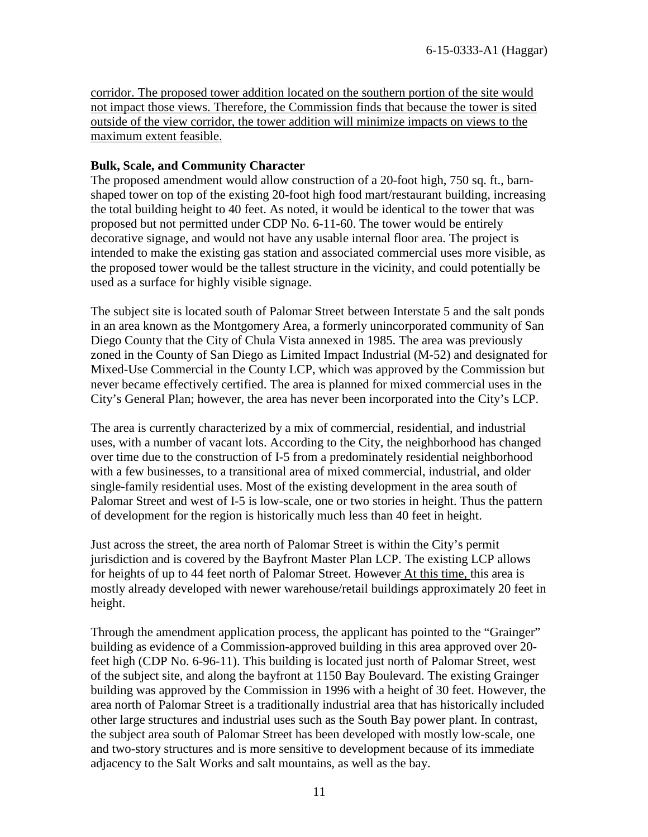corridor. The proposed tower addition located on the southern portion of the site would not impact those views. Therefore, the Commission finds that because the tower is sited outside of the view corridor, the tower addition will minimize impacts on views to the maximum extent feasible.

#### **Bulk, Scale, and Community Character**

The proposed amendment would allow construction of a 20-foot high, 750 sq. ft., barnshaped tower on top of the existing 20-foot high food mart/restaurant building, increasing the total building height to 40 feet. As noted, it would be identical to the tower that was proposed but not permitted under CDP No. 6-11-60. The tower would be entirely decorative signage, and would not have any usable internal floor area. The project is intended to make the existing gas station and associated commercial uses more visible, as the proposed tower would be the tallest structure in the vicinity, and could potentially be used as a surface for highly visible signage.

The subject site is located south of Palomar Street between Interstate 5 and the salt ponds in an area known as the Montgomery Area, a formerly unincorporated community of San Diego County that the City of Chula Vista annexed in 1985. The area was previously zoned in the County of San Diego as Limited Impact Industrial (M-52) and designated for Mixed-Use Commercial in the County LCP, which was approved by the Commission but never became effectively certified. The area is planned for mixed commercial uses in the City's General Plan; however, the area has never been incorporated into the City's LCP.

The area is currently characterized by a mix of commercial, residential, and industrial uses, with a number of vacant lots. According to the City, the neighborhood has changed over time due to the construction of I-5 from a predominately residential neighborhood with a few businesses, to a transitional area of mixed commercial, industrial, and older single-family residential uses. Most of the existing development in the area south of Palomar Street and west of I-5 is low-scale, one or two stories in height. Thus the pattern of development for the region is historically much less than 40 feet in height.

Just across the street, the area north of Palomar Street is within the City's permit jurisdiction and is covered by the Bayfront Master Plan LCP. The existing LCP allows for heights of up to 44 feet north of Palomar Street. However At this time, this area is mostly already developed with newer warehouse/retail buildings approximately 20 feet in height.

Through the amendment application process, the applicant has pointed to the "Grainger" building as evidence of a Commission-approved building in this area approved over 20 feet high (CDP No. 6-96-11). This building is located just north of Palomar Street, west of the subject site, and along the bayfront at 1150 Bay Boulevard. The existing Grainger building was approved by the Commission in 1996 with a height of 30 feet. However, the area north of Palomar Street is a traditionally industrial area that has historically included other large structures and industrial uses such as the South Bay power plant. In contrast, the subject area south of Palomar Street has been developed with mostly low-scale, one and two-story structures and is more sensitive to development because of its immediate adjacency to the Salt Works and salt mountains, as well as the bay.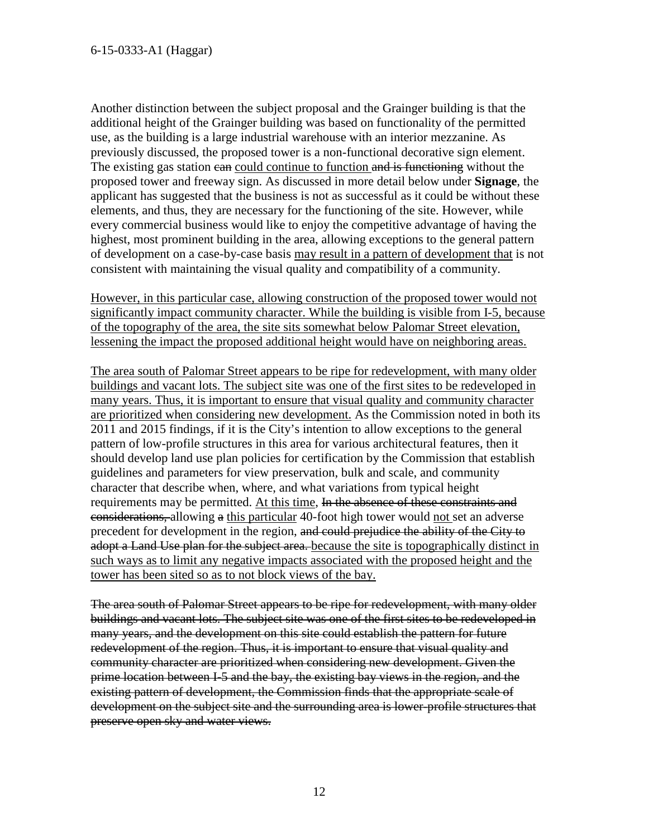Another distinction between the subject proposal and the Grainger building is that the additional height of the Grainger building was based on functionality of the permitted use, as the building is a large industrial warehouse with an interior mezzanine. As previously discussed, the proposed tower is a non-functional decorative sign element. The existing gas station can could continue to function and is functioning without the proposed tower and freeway sign. As discussed in more detail below under **Signage**, the applicant has suggested that the business is not as successful as it could be without these elements, and thus, they are necessary for the functioning of the site. However, while every commercial business would like to enjoy the competitive advantage of having the highest, most prominent building in the area, allowing exceptions to the general pattern of development on a case-by-case basis may result in a pattern of development that is not consistent with maintaining the visual quality and compatibility of a community.

However, in this particular case, allowing construction of the proposed tower would not significantly impact community character. While the building is visible from I-5, because of the topography of the area, the site sits somewhat below Palomar Street elevation, lessening the impact the proposed additional height would have on neighboring areas.

The area south of Palomar Street appears to be ripe for redevelopment, with many older buildings and vacant lots. The subject site was one of the first sites to be redeveloped in many years. Thus, it is important to ensure that visual quality and community character are prioritized when considering new development. As the Commission noted in both its 2011 and 2015 findings, if it is the City's intention to allow exceptions to the general pattern of low-profile structures in this area for various architectural features, then it should develop land use plan policies for certification by the Commission that establish guidelines and parameters for view preservation, bulk and scale, and community character that describe when, where, and what variations from typical height requirements may be permitted. At this time, In the absence of these constraints and considerations, allowing a this particular 40-foot high tower would not set an adverse precedent for development in the region, and could prejudice the ability of the City to adopt a Land Use plan for the subject area. because the site is topographically distinct in such ways as to limit any negative impacts associated with the proposed height and the tower has been sited so as to not block views of the bay.

The area south of Palomar Street appears to be ripe for redevelopment, with many older buildings and vacant lots. The subject site was one of the first sites to be redeveloped in many years, and the development on this site could establish the pattern for future redevelopment of the region. Thus, it is important to ensure that visual quality and community character are prioritized when considering new development. Given the prime location between I-5 and the bay, the existing bay views in the region, and the existing pattern of development, the Commission finds that the appropriate scale of development on the subject site and the surrounding area is lower-profile structures that preserve open sky and water views.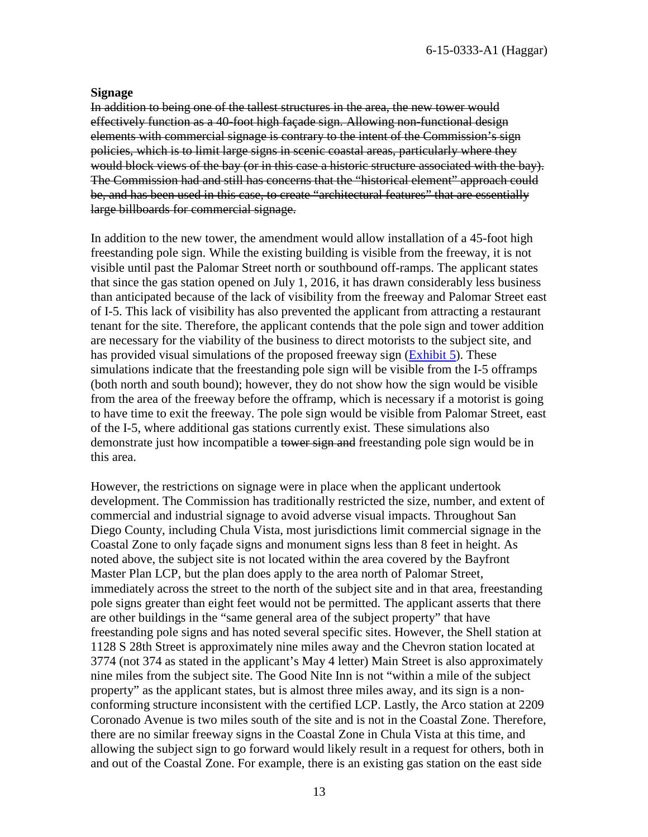#### **Signage**

In addition to being one of the tallest structures in the area, the new tower would effectively function as a 40-foot high façade sign. Allowing non-functional design elements with commercial signage is contrary to the intent of the Commission's sign policies, which is to limit large signs in scenic coastal areas, particularly where they would block views of the bay (or in this case a historic structure associated with the bay). The Commission had and still has concerns that the "historical element" approach could be, and has been used in this case, to create "architectural features" that are essentially large billboards for commercial signage.

In addition to the new tower, the amendment would allow installation of a 45-foot high freestanding pole sign. While the existing building is visible from the freeway, it is not visible until past the Palomar Street north or southbound off-ramps. The applicant states that since the gas station opened on July 1, 2016, it has drawn considerably less business than anticipated because of the lack of visibility from the freeway and Palomar Street east of I-5. This lack of visibility has also prevented the applicant from attracting a restaurant tenant for the site. Therefore, the applicant contends that the pole sign and tower addition are necessary for the viability of the business to direct motorists to the subject site, and has provided visual simulations of the proposed freeway sign [\(Exhibit 5\)](https://documents.coastal.ca.gov/reports/2017/9/W16a/W16a-9-2017-exhibits.pdf). These simulations indicate that the freestanding pole sign will be visible from the I-5 offramps (both north and south bound); however, they do not show how the sign would be visible from the area of the freeway before the offramp, which is necessary if a motorist is going to have time to exit the freeway. The pole sign would be visible from Palomar Street, east of the I-5, where additional gas stations currently exist. These simulations also demonstrate just how incompatible a tower sign and freestanding pole sign would be in this area.

However, the restrictions on signage were in place when the applicant undertook development. The Commission has traditionally restricted the size, number, and extent of commercial and industrial signage to avoid adverse visual impacts. Throughout San Diego County, including Chula Vista, most jurisdictions limit commercial signage in the Coastal Zone to only façade signs and monument signs less than 8 feet in height. As noted above, the subject site is not located within the area covered by the Bayfront Master Plan LCP, but the plan does apply to the area north of Palomar Street, immediately across the street to the north of the subject site and in that area, freestanding pole signs greater than eight feet would not be permitted. The applicant asserts that there are other buildings in the "same general area of the subject property" that have freestanding pole signs and has noted several specific sites. However, the Shell station at 1128 S 28th Street is approximately nine miles away and the Chevron station located at 3774 (not 374 as stated in the applicant's May 4 letter) Main Street is also approximately nine miles from the subject site. The Good Nite Inn is not "within a mile of the subject property" as the applicant states, but is almost three miles away, and its sign is a nonconforming structure inconsistent with the certified LCP. Lastly, the Arco station at 2209 Coronado Avenue is two miles south of the site and is not in the Coastal Zone. Therefore, there are no similar freeway signs in the Coastal Zone in Chula Vista at this time, and allowing the subject sign to go forward would likely result in a request for others, both in and out of the Coastal Zone. For example, there is an existing gas station on the east side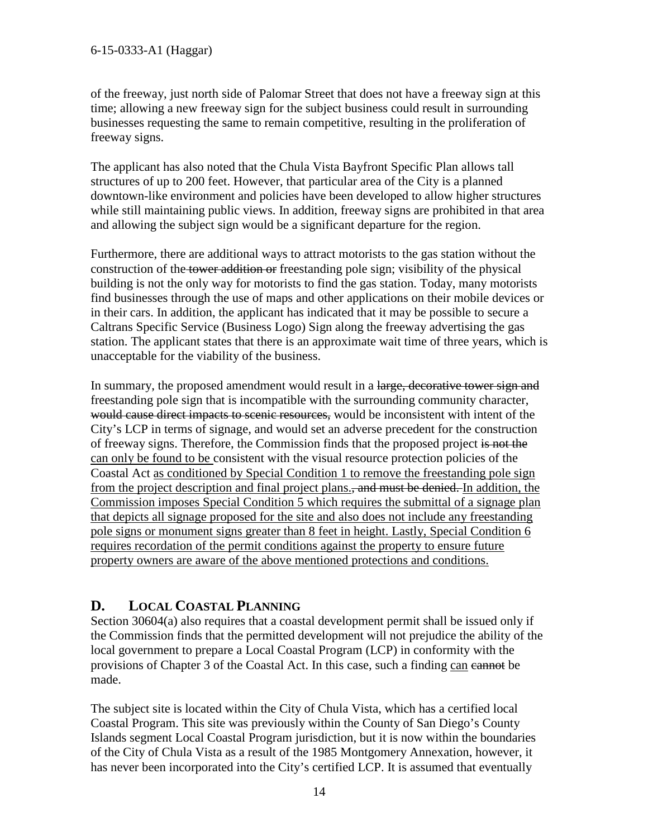of the freeway, just north side of Palomar Street that does not have a freeway sign at this time; allowing a new freeway sign for the subject business could result in surrounding businesses requesting the same to remain competitive, resulting in the proliferation of freeway signs.

The applicant has also noted that the Chula Vista Bayfront Specific Plan allows tall structures of up to 200 feet. However, that particular area of the City is a planned downtown-like environment and policies have been developed to allow higher structures while still maintaining public views. In addition, freeway signs are prohibited in that area and allowing the subject sign would be a significant departure for the region.

Furthermore, there are additional ways to attract motorists to the gas station without the construction of the tower addition or freestanding pole sign; visibility of the physical building is not the only way for motorists to find the gas station. Today, many motorists find businesses through the use of maps and other applications on their mobile devices or in their cars. In addition, the applicant has indicated that it may be possible to secure a Caltrans Specific Service (Business Logo) Sign along the freeway advertising the gas station. The applicant states that there is an approximate wait time of three years, which is unacceptable for the viability of the business.

In summary, the proposed amendment would result in a large, decorative tower sign and freestanding pole sign that is incompatible with the surrounding community character, would cause direct impacts to scenic resources, would be inconsistent with intent of the City's LCP in terms of signage, and would set an adverse precedent for the construction of freeway signs. Therefore, the Commission finds that the proposed project is not the can only be found to be consistent with the visual resource protection policies of the Coastal Act as conditioned by Special Condition 1 to remove the freestanding pole sign from the project description and final project plans., and must be denied. In addition, the Commission imposes Special Condition 5 which requires the submittal of a signage plan that depicts all signage proposed for the site and also does not include any freestanding pole signs or monument signs greater than 8 feet in height. Lastly, Special Condition 6 requires recordation of the permit conditions against the property to ensure future property owners are aware of the above mentioned protections and conditions.

# <span id="page-13-0"></span>**D. LOCAL COASTAL PLANNING**

Section 30604(a) also requires that a coastal development permit shall be issued only if the Commission finds that the permitted development will not prejudice the ability of the local government to prepare a Local Coastal Program (LCP) in conformity with the provisions of Chapter 3 of the Coastal Act. In this case, such a finding can cannot be made.

The subject site is located within the City of Chula Vista, which has a certified local Coastal Program. This site was previously within the County of San Diego's County Islands segment Local Coastal Program jurisdiction, but it is now within the boundaries of the City of Chula Vista as a result of the 1985 Montgomery Annexation, however, it has never been incorporated into the City's certified LCP. It is assumed that eventually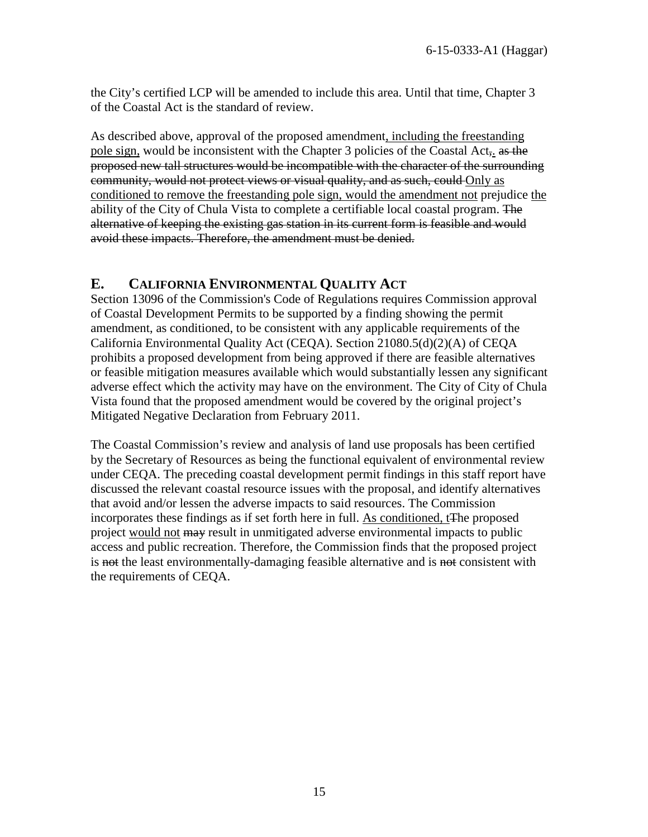the City's certified LCP will be amended to include this area. Until that time, Chapter 3 of the Coastal Act is the standard of review.

As described above, approval of the proposed amendment, including the freestanding pole sign, would be inconsistent with the Chapter 3 policies of the Coastal Act, as the proposed new tall structures would be incompatible with the character of the surrounding community, would not protect views or visual quality, and as such, could Only as conditioned to remove the freestanding pole sign, would the amendment not prejudice the ability of the City of Chula Vista to complete a certifiable local coastal program. The alternative of keeping the existing gas station in its current form is feasible and would avoid these impacts. Therefore, the amendment must be denied.

### <span id="page-14-0"></span>**E. CALIFORNIA ENVIRONMENTAL QUALITY ACT**

Section 13096 of the Commission's Code of Regulations requires Commission approval of Coastal Development Permits to be supported by a finding showing the permit amendment, as conditioned, to be consistent with any applicable requirements of the California Environmental Quality Act (CEQA). Section 21080.5(d)(2)(A) of CEQA prohibits a proposed development from being approved if there are feasible alternatives or feasible mitigation measures available which would substantially lessen any significant adverse effect which the activity may have on the environment. The City of City of Chula Vista found that the proposed amendment would be covered by the original project's Mitigated Negative Declaration from February 2011.

The Coastal Commission's review and analysis of land use proposals has been certified by the Secretary of Resources as being the functional equivalent of environmental review under CEQA. The preceding coastal development permit findings in this staff report have discussed the relevant coastal resource issues with the proposal, and identify alternatives that avoid and/or lessen the adverse impacts to said resources. The Commission incorporates these findings as if set forth here in full. As conditioned, tThe proposed project would not may result in unmitigated adverse environmental impacts to public access and public recreation. Therefore, the Commission finds that the proposed project is not the least environmentally-damaging feasible alternative and is not consistent with the requirements of CEQA.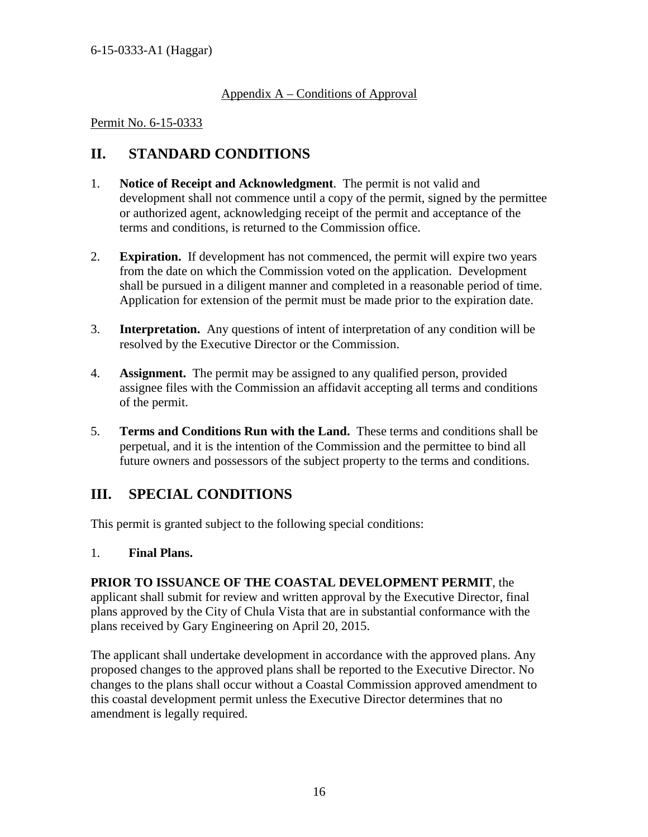### Appendix A – Conditions of Approval

#### Permit No. 6-15-0333

# **II. STANDARD CONDITIONS**

- 1. **Notice of Receipt and Acknowledgment**. The permit is not valid and development shall not commence until a copy of the permit, signed by the permittee or authorized agent, acknowledging receipt of the permit and acceptance of the terms and conditions, is returned to the Commission office.
- 2. **Expiration.** If development has not commenced, the permit will expire two years from the date on which the Commission voted on the application. Development shall be pursued in a diligent manner and completed in a reasonable period of time. Application for extension of the permit must be made prior to the expiration date.
- 3. **Interpretation.** Any questions of intent of interpretation of any condition will be resolved by the Executive Director or the Commission.
- 4. **Assignment.** The permit may be assigned to any qualified person, provided assignee files with the Commission an affidavit accepting all terms and conditions of the permit.
- 5. **Terms and Conditions Run with the Land.** These terms and conditions shall be perpetual, and it is the intention of the Commission and the permittee to bind all future owners and possessors of the subject property to the terms and conditions.

# **III. SPECIAL CONDITIONS**

This permit is granted subject to the following special conditions:

### 1. **Final Plans.**

#### **PRIOR TO ISSUANCE OF THE COASTAL DEVELOPMENT PERMIT**, the applicant shall submit for review and written approval by the Executive Director, final plans approved by the City of Chula Vista that are in substantial conformance with the plans received by Gary Engineering on April 20, 2015.

The applicant shall undertake development in accordance with the approved plans. Any proposed changes to the approved plans shall be reported to the Executive Director. No changes to the plans shall occur without a Coastal Commission approved amendment to this coastal development permit unless the Executive Director determines that no amendment is legally required.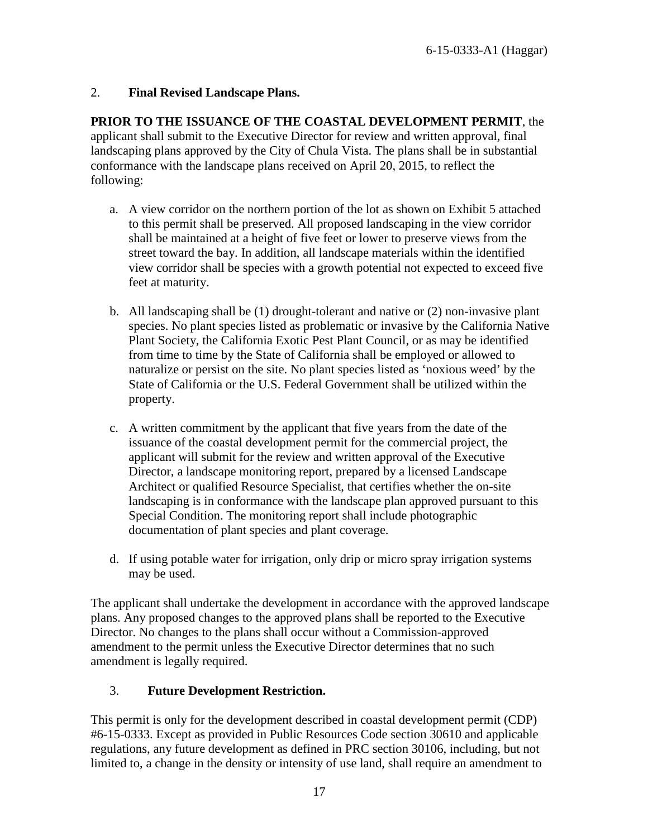### 2. **Final Revised Landscape Plans.**

**PRIOR TO THE ISSUANCE OF THE COASTAL DEVELOPMENT PERMIT**, the applicant shall submit to the Executive Director for review and written approval, final landscaping plans approved by the City of Chula Vista. The plans shall be in substantial conformance with the landscape plans received on April 20, 2015, to reflect the following:

- a. A view corridor on the northern portion of the lot as shown on Exhibit 5 attached to this permit shall be preserved. All proposed landscaping in the view corridor shall be maintained at a height of five feet or lower to preserve views from the street toward the bay. In addition, all landscape materials within the identified view corridor shall be species with a growth potential not expected to exceed five feet at maturity.
- b. All landscaping shall be (1) drought-tolerant and native or (2) non-invasive plant species. No plant species listed as problematic or invasive by the California Native Plant Society, the California Exotic Pest Plant Council, or as may be identified from time to time by the State of California shall be employed or allowed to naturalize or persist on the site. No plant species listed as 'noxious weed' by the State of California or the U.S. Federal Government shall be utilized within the property.
- c. A written commitment by the applicant that five years from the date of the issuance of the coastal development permit for the commercial project, the applicant will submit for the review and written approval of the Executive Director, a landscape monitoring report, prepared by a licensed Landscape Architect or qualified Resource Specialist, that certifies whether the on-site landscaping is in conformance with the landscape plan approved pursuant to this Special Condition. The monitoring report shall include photographic documentation of plant species and plant coverage.
- d. If using potable water for irrigation, only drip or micro spray irrigation systems may be used.

The applicant shall undertake the development in accordance with the approved landscape plans. Any proposed changes to the approved plans shall be reported to the Executive Director. No changes to the plans shall occur without a Commission-approved amendment to the permit unless the Executive Director determines that no such amendment is legally required.

### 3. **Future Development Restriction.**

This permit is only for the development described in coastal development permit (CDP) #6-15-0333. Except as provided in Public Resources Code section 30610 and applicable regulations, any future development as defined in PRC section 30106, including, but not limited to, a change in the density or intensity of use land, shall require an amendment to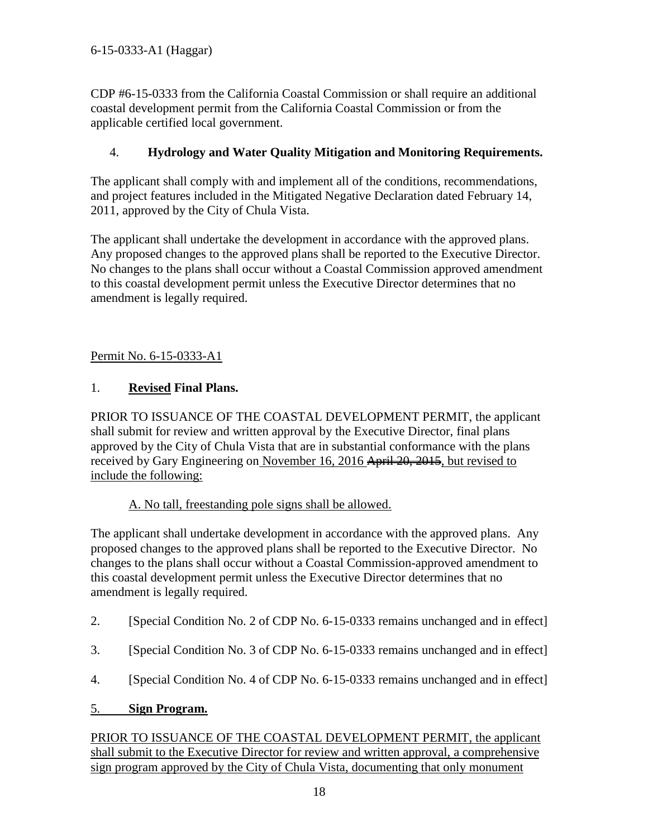CDP #6-15-0333 from the California Coastal Commission or shall require an additional coastal development permit from the California Coastal Commission or from the applicable certified local government.

### 4. **Hydrology and Water Quality Mitigation and Monitoring Requirements.**

The applicant shall comply with and implement all of the conditions, recommendations, and project features included in the Mitigated Negative Declaration dated February 14, 2011, approved by the City of Chula Vista.

The applicant shall undertake the development in accordance with the approved plans. Any proposed changes to the approved plans shall be reported to the Executive Director. No changes to the plans shall occur without a Coastal Commission approved amendment to this coastal development permit unless the Executive Director determines that no amendment is legally required.

Permit No. 6-15-0333-A1

### 1. **Revised Final Plans.**

PRIOR TO ISSUANCE OF THE COASTAL DEVELOPMENT PERMIT, the applicant shall submit for review and written approval by the Executive Director, final plans approved by the City of Chula Vista that are in substantial conformance with the plans received by Gary Engineering on November 16, 2016 April 20, 2015, but revised to include the following:

A. No tall, freestanding pole signs shall be allowed.

The applicant shall undertake development in accordance with the approved plans. Any proposed changes to the approved plans shall be reported to the Executive Director. No changes to the plans shall occur without a Coastal Commission-approved amendment to this coastal development permit unless the Executive Director determines that no amendment is legally required.

- 2. [Special Condition No. 2 of CDP No. 6-15-0333 remains unchanged and in effect]
- 3. [Special Condition No. 3 of CDP No. 6-15-0333 remains unchanged and in effect]
- 4. [Special Condition No. 4 of CDP No. 6-15-0333 remains unchanged and in effect]

### 5. **Sign Program.**

PRIOR TO ISSUANCE OF THE COASTAL DEVELOPMENT PERMIT, the applicant shall submit to the Executive Director for review and written approval, a comprehensive sign program approved by the City of Chula Vista, documenting that only monument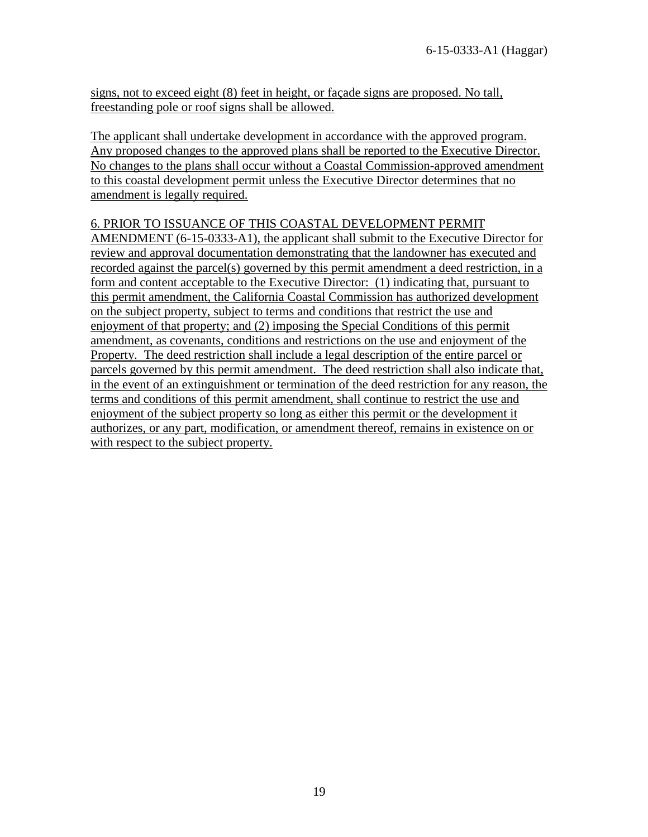signs, not to exceed eight (8) feet in height, or façade signs are proposed. No tall, freestanding pole or roof signs shall be allowed.

The applicant shall undertake development in accordance with the approved program. Any proposed changes to the approved plans shall be reported to the Executive Director. No changes to the plans shall occur without a Coastal Commission-approved amendment to this coastal development permit unless the Executive Director determines that no amendment is legally required.

### 6. PRIOR TO ISSUANCE OF THIS COASTAL DEVELOPMENT PERMIT

AMENDMENT (6-15-0333-A1), the applicant shall submit to the Executive Director for review and approval documentation demonstrating that the landowner has executed and recorded against the parcel(s) governed by this permit amendment a deed restriction, in a form and content acceptable to the Executive Director: (1) indicating that, pursuant to this permit amendment, the California Coastal Commission has authorized development on the subject property, subject to terms and conditions that restrict the use and enjoyment of that property; and (2) imposing the Special Conditions of this permit amendment, as covenants, conditions and restrictions on the use and enjoyment of the Property. The deed restriction shall include a legal description of the entire parcel or parcels governed by this permit amendment. The deed restriction shall also indicate that, in the event of an extinguishment or termination of the deed restriction for any reason, the terms and conditions of this permit amendment, shall continue to restrict the use and enjoyment of the subject property so long as either this permit or the development it authorizes, or any part, modification, or amendment thereof, remains in existence on or with respect to the subject property.